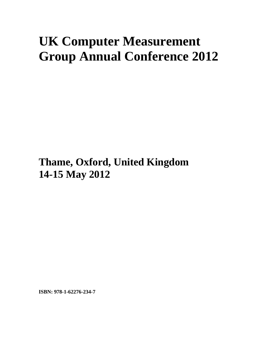## **UK Computer Measurement Group Annual Conference 2012**

**Thame, Oxford, United Kingdom 14-15 May 2012**

**ISBN: 978-1-62276-234-7**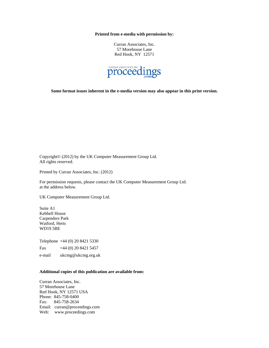**Printed from e-media with permission by:** 

Curran Associates, Inc. 57 Morehouse Lane Red Hook, NY 12571



**Some format issues inherent in the e-media version may also appear in this print version.** 

Copyright© (2012) by the UK Computer Measurement Group Ltd. All rights reserved.

Printed by Curran Associates, Inc. (2012)

For permission requests, please contact the UK Computer Measurement Group Ltd. at the address below.

UK Computer Measurement Group Ltd.

Suite A1 Kebbell House Carpenders Park Watford, Herts WD19 5BE

Telephone +44 (0) 20 8421 5330

Fax  $+44(0)$  20 8421 5457

e-mail ukcmg@ukcmg.org.uk

## **Additional copies of this publication are available from:**

Curran Associates, Inc. 57 Morehouse Lane Red Hook, NY 12571 USA Phone: 845-758-0400 Fax: 845-758-2634 Email: curran@proceedings.com Web: www.proceedings.com